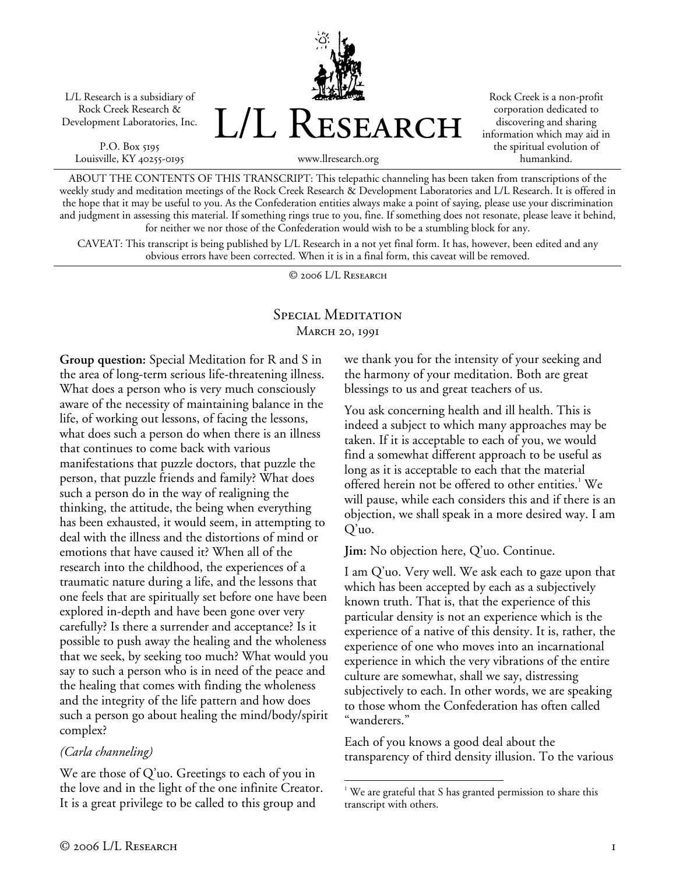L/L Research is a subsidiary of Rock Creek Research & Development Laboratories, Inc.

P.O. Box 5195 Louisville, KY 40255-0195 L/L Research

Rock Creek is a non-profit corporation dedicated to discovering and sharing information which may aid in the spiritual evolution of humankind.

www.llresearch.org

ABOUT THE CONTENTS OF THIS TRANSCRIPT: This telepathic channeling has been taken from transcriptions of the weekly study and meditation meetings of the Rock Creek Research & Development Laboratories and L/L Research. It is offered in the hope that it may be useful to you. As the Confederation entities always make a point of saying, please use your discrimination and judgment in assessing this material. If something rings true to you, fine. If something does not resonate, please leave it behind, for neither we nor those of the Confederation would wish to be a stumbling block for any.

CAVEAT: This transcript is being published by L/L Research in a not yet final form. It has, however, been edited and any obvious errors have been corrected. When it is in a final form, this caveat will be removed.

© 2006 L/L Research

# Special Meditation March 20, 1991

<u>.</u>

**Group question:** Special Meditation for R and S in the area of long-term serious life-threatening illness. What does a person who is very much consciously aware of the necessity of maintaining balance in the life, of working out lessons, of facing the lessons, what does such a person do when there is an illness that continues to come back with various manifestations that puzzle doctors, that puzzle the person, that puzzle friends and family? What does such a person do in the way of realigning the thinking, the attitude, the being when everything has been exhausted, it would seem, in attempting to deal with the illness and the distortions of mind or emotions that have caused it? When all of the research into the childhood, the experiences of a traumatic nature during a life, and the lessons that one feels that are spiritually set before one have been explored in-depth and have been gone over very carefully? Is there a surrender and acceptance? Is it possible to push away the healing and the wholeness that we seek, by seeking too much? What would you say to such a person who is in need of the peace and the healing that comes with finding the wholeness and the integrity of the life pattern and how does such a person go about healing the mind/body/spirit complex?

#### *(Carla channeling)*

We are those of Q'uo. Greetings to each of you in the love and in the light of the one infinite Creator. It is a great privilege to be called to this group and

we thank you for the intensity of your seeking and the harmony of your meditation. Both are great blessings to us and great teachers of us.

You ask concerning health and ill health. This is indeed a subject to which many approaches may be taken. If it is acceptable to each of you, we would find a somewhat different approach to be useful as long as it is acceptable to each that the material offered herein not be offered to other entities.<sup>1</sup> We will pause, while each considers this and if there is an objection, we shall speak in a more desired way. I am Q'uo.

**Jim:** No objection here, Q'uo. Continue.

I am Q'uo. Very well. We ask each to gaze upon that which has been accepted by each as a subjectively known truth. That is, that the experience of this particular density is not an experience which is the experience of a native of this density. It is, rather, the experience of one who moves into an incarnational experience in which the very vibrations of the entire culture are somewhat, shall we say, distressing subjectively to each. In other words, we are speaking to those whom the Confederation has often called "wanderers."

Each of you knows a good deal about the transparency of third density illusion. To the various

 $1$  We are grateful that S has granted permission to share this transcript with others.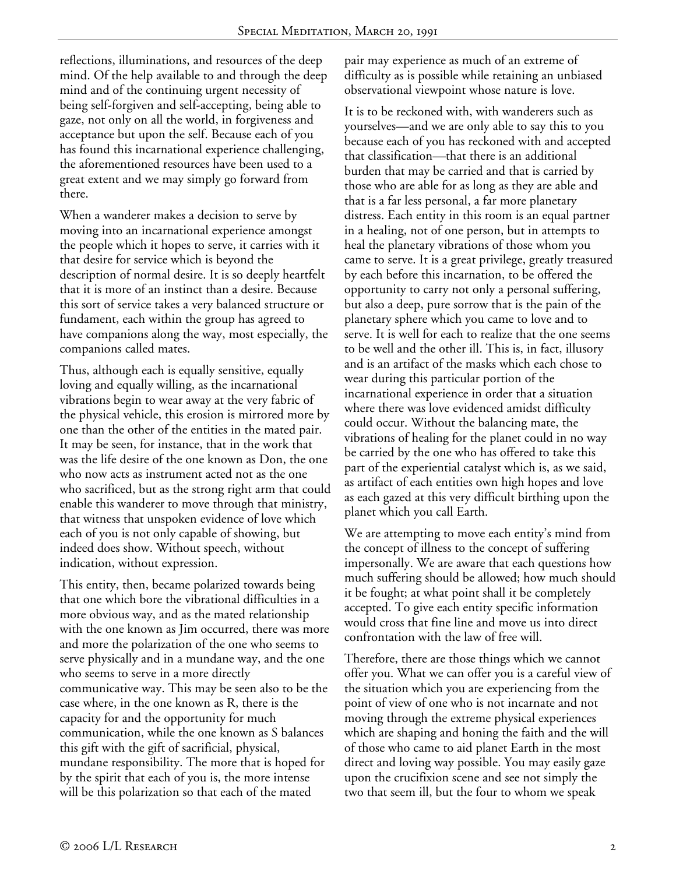reflections, illuminations, and resources of the deep mind. Of the help available to and through the deep mind and of the continuing urgent necessity of being self-forgiven and self-accepting, being able to gaze, not only on all the world, in forgiveness and acceptance but upon the self. Because each of you has found this incarnational experience challenging, the aforementioned resources have been used to a great extent and we may simply go forward from there.

When a wanderer makes a decision to serve by moving into an incarnational experience amongst the people which it hopes to serve, it carries with it that desire for service which is beyond the description of normal desire. It is so deeply heartfelt that it is more of an instinct than a desire. Because this sort of service takes a very balanced structure or fundament, each within the group has agreed to have companions along the way, most especially, the companions called mates.

Thus, although each is equally sensitive, equally loving and equally willing, as the incarnational vibrations begin to wear away at the very fabric of the physical vehicle, this erosion is mirrored more by one than the other of the entities in the mated pair. It may be seen, for instance, that in the work that was the life desire of the one known as Don, the one who now acts as instrument acted not as the one who sacrificed, but as the strong right arm that could enable this wanderer to move through that ministry, that witness that unspoken evidence of love which each of you is not only capable of showing, but indeed does show. Without speech, without indication, without expression.

This entity, then, became polarized towards being that one which bore the vibrational difficulties in a more obvious way, and as the mated relationship with the one known as Jim occurred, there was more and more the polarization of the one who seems to serve physically and in a mundane way, and the one who seems to serve in a more directly communicative way. This may be seen also to be the case where, in the one known as R, there is the capacity for and the opportunity for much communication, while the one known as S balances this gift with the gift of sacrificial, physical, mundane responsibility. The more that is hoped for by the spirit that each of you is, the more intense will be this polarization so that each of the mated

pair may experience as much of an extreme of difficulty as is possible while retaining an unbiased observational viewpoint whose nature is love.

It is to be reckoned with, with wanderers such as yourselves—and we are only able to say this to you because each of you has reckoned with and accepted that classification—that there is an additional burden that may be carried and that is carried by those who are able for as long as they are able and that is a far less personal, a far more planetary distress. Each entity in this room is an equal partner in a healing, not of one person, but in attempts to heal the planetary vibrations of those whom you came to serve. It is a great privilege, greatly treasured by each before this incarnation, to be offered the opportunity to carry not only a personal suffering, but also a deep, pure sorrow that is the pain of the planetary sphere which you came to love and to serve. It is well for each to realize that the one seems to be well and the other ill. This is, in fact, illusory and is an artifact of the masks which each chose to wear during this particular portion of the incarnational experience in order that a situation where there was love evidenced amidst difficulty could occur. Without the balancing mate, the vibrations of healing for the planet could in no way be carried by the one who has offered to take this part of the experiential catalyst which is, as we said, as artifact of each entities own high hopes and love as each gazed at this very difficult birthing upon the planet which you call Earth.

We are attempting to move each entity's mind from the concept of illness to the concept of suffering impersonally. We are aware that each questions how much suffering should be allowed; how much should it be fought; at what point shall it be completely accepted. To give each entity specific information would cross that fine line and move us into direct confrontation with the law of free will.

Therefore, there are those things which we cannot offer you. What we can offer you is a careful view of the situation which you are experiencing from the point of view of one who is not incarnate and not moving through the extreme physical experiences which are shaping and honing the faith and the will of those who came to aid planet Earth in the most direct and loving way possible. You may easily gaze upon the crucifixion scene and see not simply the two that seem ill, but the four to whom we speak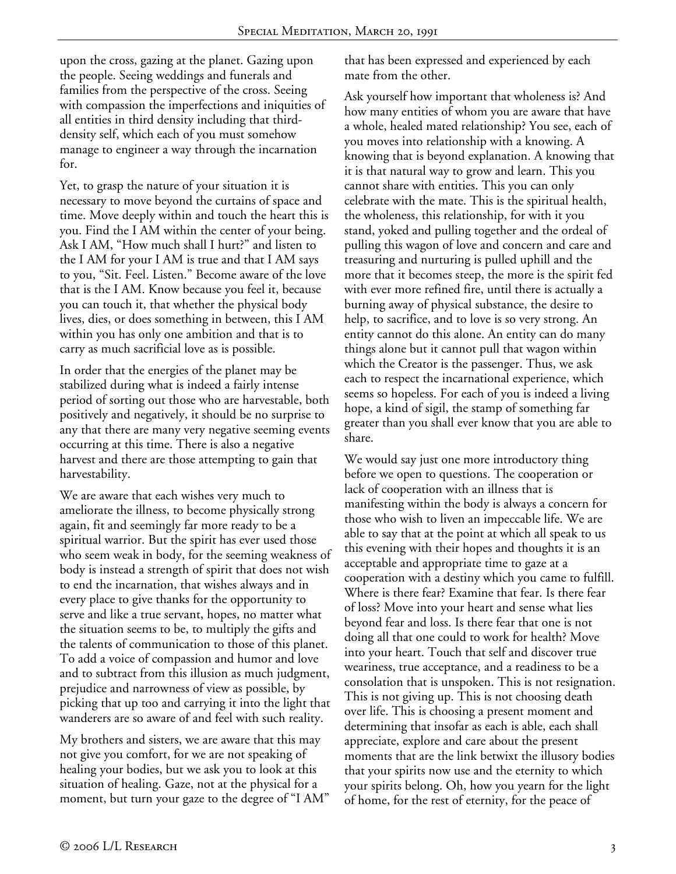upon the cross, gazing at the planet. Gazing upon the people. Seeing weddings and funerals and families from the perspective of the cross. Seeing with compassion the imperfections and iniquities of all entities in third density including that thirddensity self, which each of you must somehow manage to engineer a way through the incarnation for.

Yet, to grasp the nature of your situation it is necessary to move beyond the curtains of space and time. Move deeply within and touch the heart this is you. Find the I AM within the center of your being. Ask I AM, "How much shall I hurt?" and listen to the I AM for your I AM is true and that I AM says to you, "Sit. Feel. Listen." Become aware of the love that is the I AM. Know because you feel it, because you can touch it, that whether the physical body lives, dies, or does something in between, this I AM within you has only one ambition and that is to carry as much sacrificial love as is possible.

In order that the energies of the planet may be stabilized during what is indeed a fairly intense period of sorting out those who are harvestable, both positively and negatively, it should be no surprise to any that there are many very negative seeming events occurring at this time. There is also a negative harvest and there are those attempting to gain that harvestability.

We are aware that each wishes very much to ameliorate the illness, to become physically strong again, fit and seemingly far more ready to be a spiritual warrior. But the spirit has ever used those who seem weak in body, for the seeming weakness of body is instead a strength of spirit that does not wish to end the incarnation, that wishes always and in every place to give thanks for the opportunity to serve and like a true servant, hopes, no matter what the situation seems to be, to multiply the gifts and the talents of communication to those of this planet. To add a voice of compassion and humor and love and to subtract from this illusion as much judgment, prejudice and narrowness of view as possible, by picking that up too and carrying it into the light that wanderers are so aware of and feel with such reality.

My brothers and sisters, we are aware that this may not give you comfort, for we are not speaking of healing your bodies, but we ask you to look at this situation of healing. Gaze, not at the physical for a moment, but turn your gaze to the degree of "I AM" that has been expressed and experienced by each mate from the other.

Ask yourself how important that wholeness is? And how many entities of whom you are aware that have a whole, healed mated relationship? You see, each of you moves into relationship with a knowing. A knowing that is beyond explanation. A knowing that it is that natural way to grow and learn. This you cannot share with entities. This you can only celebrate with the mate. This is the spiritual health, the wholeness, this relationship, for with it you stand, yoked and pulling together and the ordeal of pulling this wagon of love and concern and care and treasuring and nurturing is pulled uphill and the more that it becomes steep, the more is the spirit fed with ever more refined fire, until there is actually a burning away of physical substance, the desire to help, to sacrifice, and to love is so very strong. An entity cannot do this alone. An entity can do many things alone but it cannot pull that wagon within which the Creator is the passenger. Thus, we ask each to respect the incarnational experience, which seems so hopeless. For each of you is indeed a living hope, a kind of sigil, the stamp of something far greater than you shall ever know that you are able to share.

We would say just one more introductory thing before we open to questions. The cooperation or lack of cooperation with an illness that is manifesting within the body is always a concern for those who wish to liven an impeccable life. We are able to say that at the point at which all speak to us this evening with their hopes and thoughts it is an acceptable and appropriate time to gaze at a cooperation with a destiny which you came to fulfill. Where is there fear? Examine that fear. Is there fear of loss? Move into your heart and sense what lies beyond fear and loss. Is there fear that one is not doing all that one could to work for health? Move into your heart. Touch that self and discover true weariness, true acceptance, and a readiness to be a consolation that is unspoken. This is not resignation. This is not giving up. This is not choosing death over life. This is choosing a present moment and determining that insofar as each is able, each shall appreciate, explore and care about the present moments that are the link betwixt the illusory bodies that your spirits now use and the eternity to which your spirits belong. Oh, how you yearn for the light of home, for the rest of eternity, for the peace of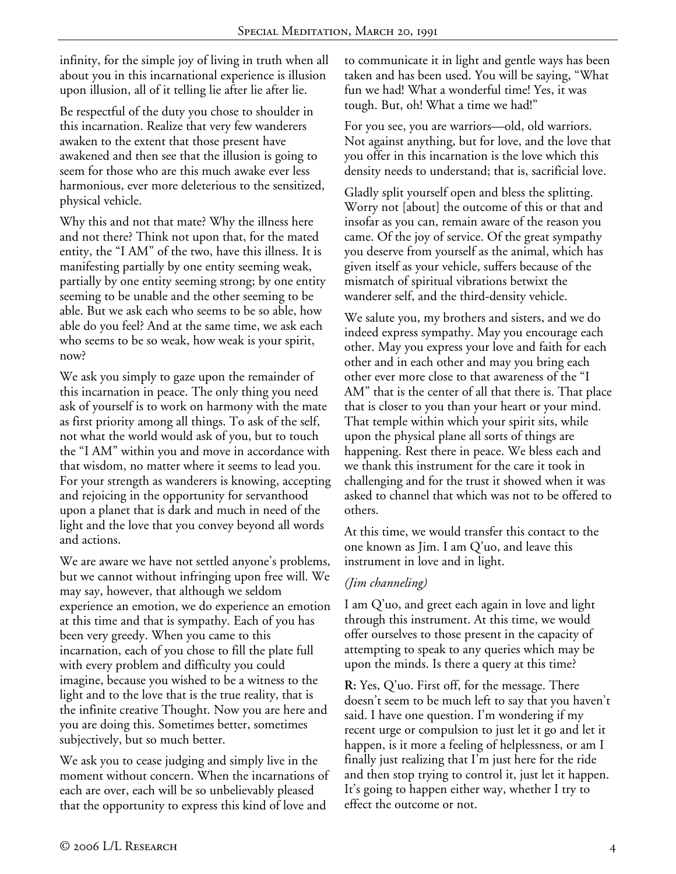infinity, for the simple joy of living in truth when all about you in this incarnational experience is illusion upon illusion, all of it telling lie after lie after lie.

Be respectful of the duty you chose to shoulder in this incarnation. Realize that very few wanderers awaken to the extent that those present have awakened and then see that the illusion is going to seem for those who are this much awake ever less harmonious, ever more deleterious to the sensitized, physical vehicle.

Why this and not that mate? Why the illness here and not there? Think not upon that, for the mated entity, the "I AM" of the two, have this illness. It is manifesting partially by one entity seeming weak, partially by one entity seeming strong; by one entity seeming to be unable and the other seeming to be able. But we ask each who seems to be so able, how able do you feel? And at the same time, we ask each who seems to be so weak, how weak is your spirit, now?

We ask you simply to gaze upon the remainder of this incarnation in peace. The only thing you need ask of yourself is to work on harmony with the mate as first priority among all things. To ask of the self, not what the world would ask of you, but to touch the "I AM" within you and move in accordance with that wisdom, no matter where it seems to lead you. For your strength as wanderers is knowing, accepting and rejoicing in the opportunity for servanthood upon a planet that is dark and much in need of the light and the love that you convey beyond all words and actions.

We are aware we have not settled anyone's problems, but we cannot without infringing upon free will. We may say, however, that although we seldom experience an emotion, we do experience an emotion at this time and that is sympathy. Each of you has been very greedy. When you came to this incarnation, each of you chose to fill the plate full with every problem and difficulty you could imagine, because you wished to be a witness to the light and to the love that is the true reality, that is the infinite creative Thought. Now you are here and you are doing this. Sometimes better, sometimes subjectively, but so much better.

We ask you to cease judging and simply live in the moment without concern. When the incarnations of each are over, each will be so unbelievably pleased that the opportunity to express this kind of love and

to communicate it in light and gentle ways has been taken and has been used. You will be saying, "What fun we had! What a wonderful time! Yes, it was tough. But, oh! What a time we had!"

For you see, you are warriors—old, old warriors. Not against anything, but for love, and the love that you offer in this incarnation is the love which this density needs to understand; that is, sacrificial love.

Gladly split yourself open and bless the splitting. Worry not [about] the outcome of this or that and insofar as you can, remain aware of the reason you came. Of the joy of service. Of the great sympathy you deserve from yourself as the animal, which has given itself as your vehicle, suffers because of the mismatch of spiritual vibrations betwixt the wanderer self, and the third-density vehicle.

We salute you, my brothers and sisters, and we do indeed express sympathy. May you encourage each other. May you express your love and faith for each other and in each other and may you bring each other ever more close to that awareness of the "I AM" that is the center of all that there is. That place that is closer to you than your heart or your mind. That temple within which your spirit sits, while upon the physical plane all sorts of things are happening. Rest there in peace. We bless each and we thank this instrument for the care it took in challenging and for the trust it showed when it was asked to channel that which was not to be offered to others.

At this time, we would transfer this contact to the one known as Jim. I am Q'uo, and leave this instrument in love and in light.

# *(Jim channeling)*

I am Q'uo, and greet each again in love and light through this instrument. At this time, we would offer ourselves to those present in the capacity of attempting to speak to any queries which may be upon the minds. Is there a query at this time?

**R:** Yes, Q'uo. First off, for the message. There doesn't seem to be much left to say that you haven't said. I have one question. I'm wondering if my recent urge or compulsion to just let it go and let it happen, is it more a feeling of helplessness, or am I finally just realizing that I'm just here for the ride and then stop trying to control it, just let it happen. It's going to happen either way, whether I try to effect the outcome or not.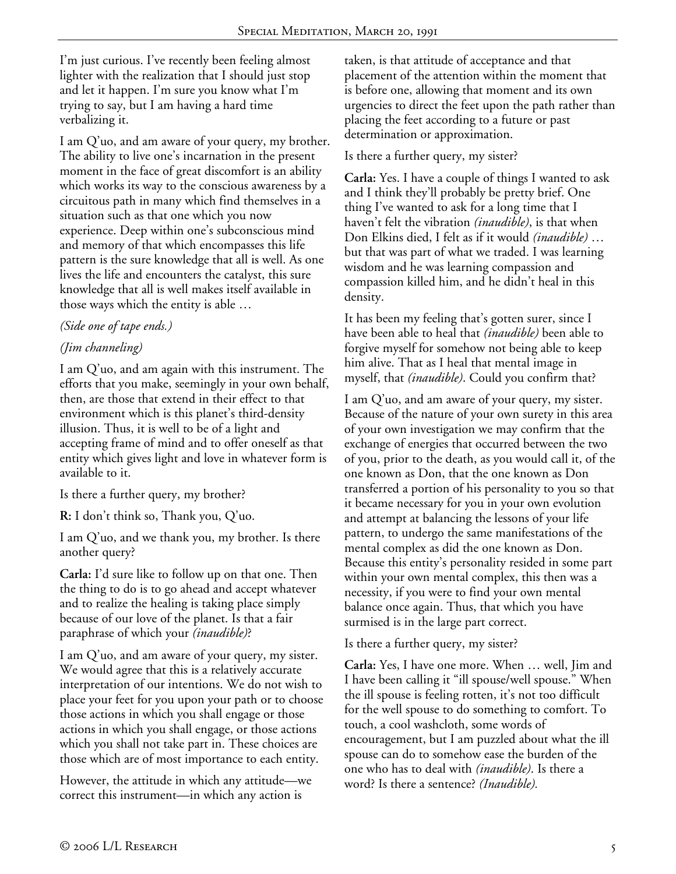I'm just curious. I've recently been feeling almost lighter with the realization that I should just stop and let it happen. I'm sure you know what I'm trying to say, but I am having a hard time verbalizing it.

I am Q'uo, and am aware of your query, my brother. The ability to live one's incarnation in the present moment in the face of great discomfort is an ability which works its way to the conscious awareness by a circuitous path in many which find themselves in a situation such as that one which you now experience. Deep within one's subconscious mind and memory of that which encompasses this life pattern is the sure knowledge that all is well. As one lives the life and encounters the catalyst, this sure knowledge that all is well makes itself available in those ways which the entity is able …

### *(Side one of tape ends.)*

# *(Jim channeling)*

I am Q'uo, and am again with this instrument. The efforts that you make, seemingly in your own behalf, then, are those that extend in their effect to that environment which is this planet's third-density illusion. Thus, it is well to be of a light and accepting frame of mind and to offer oneself as that entity which gives light and love in whatever form is available to it.

Is there a further query, my brother?

**R:** I don't think so, Thank you, Q'uo.

I am Q'uo, and we thank you, my brother. Is there another query?

**Carla:** I'd sure like to follow up on that one. Then the thing to do is to go ahead and accept whatever and to realize the healing is taking place simply because of our love of the planet. Is that a fair paraphrase of which your *(inaudible)*?

I am Q'uo, and am aware of your query, my sister. We would agree that this is a relatively accurate interpretation of our intentions. We do not wish to place your feet for you upon your path or to choose those actions in which you shall engage or those actions in which you shall engage, or those actions which you shall not take part in. These choices are those which are of most importance to each entity.

However, the attitude in which any attitude—we correct this instrument—in which any action is

taken, is that attitude of acceptance and that placement of the attention within the moment that is before one, allowing that moment and its own urgencies to direct the feet upon the path rather than placing the feet according to a future or past determination or approximation.

Is there a further query, my sister?

**Carla:** Yes. I have a couple of things I wanted to ask and I think they'll probably be pretty brief. One thing I've wanted to ask for a long time that I haven't felt the vibration *(inaudible)*, is that when Don Elkins died, I felt as if it would *(inaudible)* … but that was part of what we traded. I was learning wisdom and he was learning compassion and compassion killed him, and he didn't heal in this density.

It has been my feeling that's gotten surer, since I have been able to heal that *(inaudible)* been able to forgive myself for somehow not being able to keep him alive. That as I heal that mental image in myself, that *(inaudible)*. Could you confirm that?

I am Q'uo, and am aware of your query, my sister. Because of the nature of your own surety in this area of your own investigation we may confirm that the exchange of energies that occurred between the two of you, prior to the death, as you would call it, of the one known as Don, that the one known as Don transferred a portion of his personality to you so that it became necessary for you in your own evolution and attempt at balancing the lessons of your life pattern, to undergo the same manifestations of the mental complex as did the one known as Don. Because this entity's personality resided in some part within your own mental complex, this then was a necessity, if you were to find your own mental balance once again. Thus, that which you have surmised is in the large part correct.

Is there a further query, my sister?

**Carla:** Yes, I have one more. When … well, Jim and I have been calling it "ill spouse/well spouse." When the ill spouse is feeling rotten, it's not too difficult for the well spouse to do something to comfort. To touch, a cool washcloth, some words of encouragement, but I am puzzled about what the ill spouse can do to somehow ease the burden of the one who has to deal with *(inaudible)*. Is there a word? Is there a sentence? *(Inaudible).*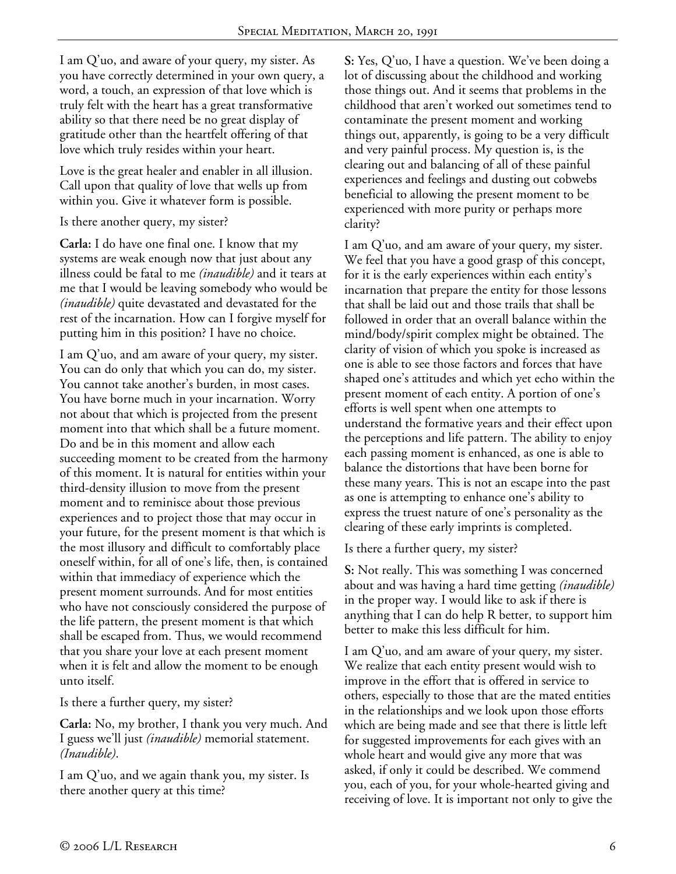I am Q'uo, and aware of your query, my sister. As you have correctly determined in your own query, a word, a touch, an expression of that love which is truly felt with the heart has a great transformative ability so that there need be no great display of gratitude other than the heartfelt offering of that love which truly resides within your heart.

Love is the great healer and enabler in all illusion. Call upon that quality of love that wells up from within you. Give it whatever form is possible.

Is there another query, my sister?

**Carla:** I do have one final one. I know that my systems are weak enough now that just about any illness could be fatal to me *(inaudible)* and it tears at me that I would be leaving somebody who would be *(inaudible)* quite devastated and devastated for the rest of the incarnation. How can I forgive myself for putting him in this position? I have no choice.

I am Q'uo, and am aware of your query, my sister. You can do only that which you can do, my sister. You cannot take another's burden, in most cases. You have borne much in your incarnation. Worry not about that which is projected from the present moment into that which shall be a future moment. Do and be in this moment and allow each succeeding moment to be created from the harmony of this moment. It is natural for entities within your third-density illusion to move from the present moment and to reminisce about those previous experiences and to project those that may occur in your future, for the present moment is that which is the most illusory and difficult to comfortably place oneself within, for all of one's life, then, is contained within that immediacy of experience which the present moment surrounds. And for most entities who have not consciously considered the purpose of the life pattern, the present moment is that which shall be escaped from. Thus, we would recommend that you share your love at each present moment when it is felt and allow the moment to be enough unto itself.

Is there a further query, my sister?

**Carla:** No, my brother, I thank you very much. And I guess we'll just *(inaudible)* memorial statement. *(Inaudible)*.

I am Q'uo, and we again thank you, my sister. Is there another query at this time?

**S:** Yes, Q'uo, I have a question. We've been doing a lot of discussing about the childhood and working those things out. And it seems that problems in the childhood that aren't worked out sometimes tend to contaminate the present moment and working things out, apparently, is going to be a very difficult and very painful process. My question is, is the clearing out and balancing of all of these painful experiences and feelings and dusting out cobwebs beneficial to allowing the present moment to be experienced with more purity or perhaps more clarity?

I am Q'uo, and am aware of your query, my sister. We feel that you have a good grasp of this concept, for it is the early experiences within each entity's incarnation that prepare the entity for those lessons that shall be laid out and those trails that shall be followed in order that an overall balance within the mind/body/spirit complex might be obtained. The clarity of vision of which you spoke is increased as one is able to see those factors and forces that have shaped one's attitudes and which yet echo within the present moment of each entity. A portion of one's efforts is well spent when one attempts to understand the formative years and their effect upon the perceptions and life pattern. The ability to enjoy each passing moment is enhanced, as one is able to balance the distortions that have been borne for these many years. This is not an escape into the past as one is attempting to enhance one's ability to express the truest nature of one's personality as the clearing of these early imprints is completed.

Is there a further query, my sister?

**S:** Not really. This was something I was concerned about and was having a hard time getting *(inaudible)* in the proper way. I would like to ask if there is anything that I can do help R better, to support him better to make this less difficult for him.

I am Q'uo, and am aware of your query, my sister. We realize that each entity present would wish to improve in the effort that is offered in service to others, especially to those that are the mated entities in the relationships and we look upon those efforts which are being made and see that there is little left for suggested improvements for each gives with an whole heart and would give any more that was asked, if only it could be described. We commend you, each of you, for your whole-hearted giving and receiving of love. It is important not only to give the